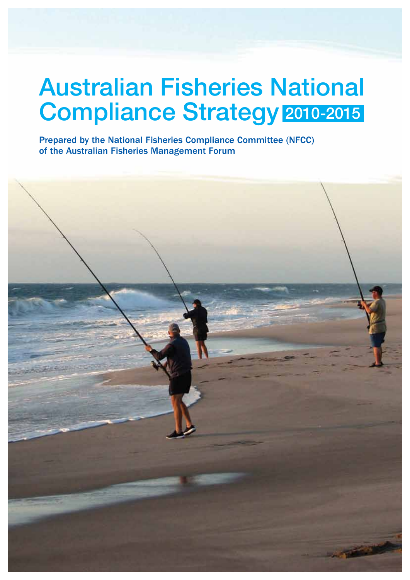# Australian Fisheries National Compliance Strategy 2010-2015

Prepared by the National Fisheries Compliance Committee (NFCC) of the Australian Fisheries Management Forum

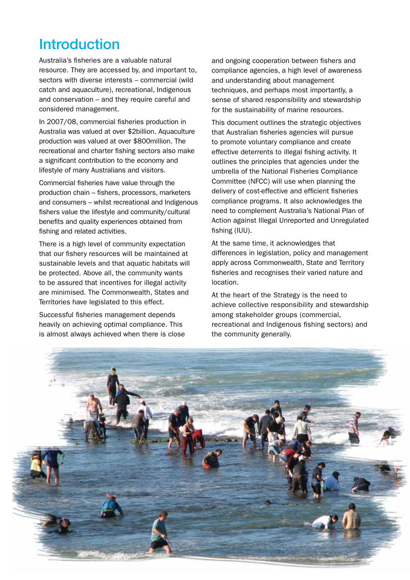# **Introduction**

Australia's fisheries are a valuable natural resource. They are accessed by, and important to, sectors with diverse interests – commercial (wild catch and aquaculture), recreational, Indigenous and conservation – and they require careful and considered management.

In 2007/08, commercial fisheries production in Australia was valued at over \$2billion. Aquaculture production was valued at over \$800million. The recreational and charter fishing sectors also make a significant contribution to the economy and lifestyle of many Australians and visitors.

Commercial fisheries have value through the production chain – fishers, processors, marketers and consumers – whilst recreational and Indigenous fishers value the lifestyle and community/cultural benefits and quality experiences obtained from fishing and related activities.

There is a high level of community expectation that our fishery resources will be maintained at sustainable levels and that aquatic habitats will be protected. Above all, the community wants to be assured that incentives for illegal activity are minimised. The Commonwealth, States and Territories have legislated to this effect.

Successful fisheries management depends heavily on achieving optimal compliance. This is almost always achieved when there is close and ongoing cooperation between fishers and compliance agencies, a high level of awareness and understanding about management techniques, and perhaps most importantly, a sense of shared responsibility and stewardship for the sustainability of marine resources.

This document outlines the strategic objectives that Australian fisheries agencies will pursue to promote voluntary compliance and create effective deterrents to illegal fishing activity. It outlines the principles that agencies under the umbrella of the National Fisheries Compliance Committee (NFCC) will use when planning the delivery of cost-effective and efficient fisheries compliance programs. It also acknowledges the need to complement Australia's National Plan of Action against Illegal Unreported and Unregulated fishing (IUU).

At the same time, it acknowledges that differences in legislation, policy and management apply across Commonwealth, State and Territory fisheries and recognises their varied nature and location.

At the heart of the Strategy is the need to achieve collective responsibility and stewardship among stakeholder groups (commercial, recreational and Indigenous fishing sectors) and the community generally.

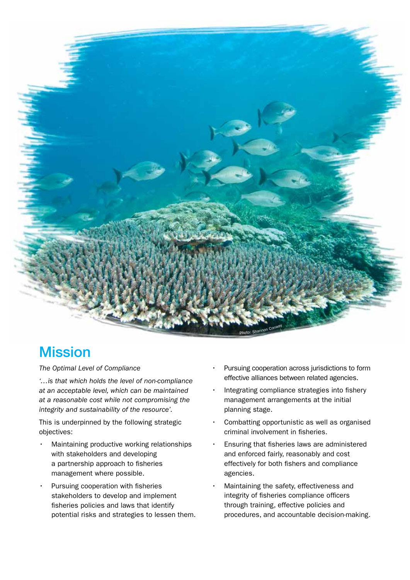

# **Mission**

*The Optimal Level of Compliance* 

*'…is that which holds the level of non-compliance at an acceptable level, which can be maintained at a reasonable cost while not compromising the integrity and sustainability of the resource'.* 

This is underpinned by the following strategic objectives:

- Maintaining productive working relationships with stakeholders and developing a partnership approach to fisheries management where possible.
- Pursuing cooperation with fisheries stakeholders to develop and implement fisheries policies and laws that identify potential risks and strategies to lessen them.
- Pursuing cooperation across jurisdictions to form effective alliances between related agencies.
- Integrating compliance strategies into fishery management arrangements at the initial planning stage.
- Combatting opportunistic as well as organised criminal involvement in fisheries.
- Ensuring that fisheries laws are administered and enforced fairly, reasonably and cost effectively for both fishers and compliance agencies.
- Maintaining the safety, effectiveness and integrity of fisheries compliance officers through training, effective policies and procedures, and accountable decision-making.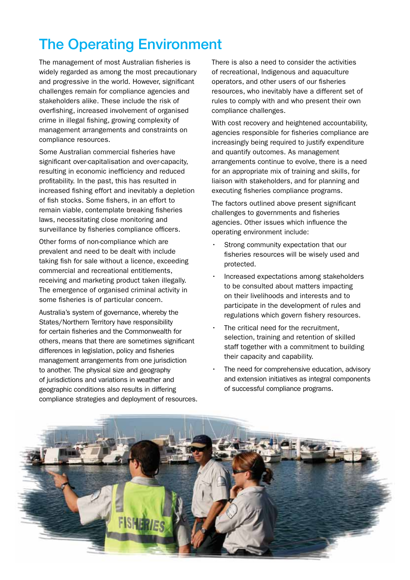# The Operating Environment

The management of most Australian fisheries is widely regarded as among the most precautionary and progressive in the world. However, significant challenges remain for compliance agencies and stakeholders alike. These include the risk of overfishing, increased involvement of organised crime in illegal fishing, growing complexity of management arrangements and constraints on compliance resources.

Some Australian commercial fisheries have significant over-capitalisation and over-capacity, resulting in economic inefficiency and reduced profitability. In the past, this has resulted in increased fishing effort and inevitably a depletion of fish stocks. Some fishers, in an effort to remain viable, contemplate breaking fisheries laws, necessitating close monitoring and surveillance by fisheries compliance officers.

Other forms of non-compliance which are prevalent and need to be dealt with include taking fish for sale without a licence, exceeding commercial and recreational entitlements, receiving and marketing product taken illegally. The emergence of organised criminal activity in some fisheries is of particular concern.

Australia's system of governance, whereby the States/Northern Territory have responsibility for certain fisheries and the Commonwealth for others, means that there are sometimes significant differences in legislation, policy and fisheries management arrangements from one jurisdiction to another. The physical size and geography of jurisdictions and variations in weather and geographic conditions also results in differing compliance strategies and deployment of resources.

There is also a need to consider the activities of recreational, Indigenous and aquaculture operators, and other users of our fisheries resources, who inevitably have a different set of rules to comply with and who present their own compliance challenges.

With cost recovery and heightened accountability, agencies responsible for fisheries compliance are increasingly being required to justify expenditure and quantify outcomes. As management arrangements continue to evolve, there is a need for an appropriate mix of training and skills, for liaison with stakeholders, and for planning and executing fisheries compliance programs.

The factors outlined above present significant challenges to governments and fisheries agencies. Other issues which influence the operating environment include:

- Strong community expectation that our fisheries resources will be wisely used and protected.
- Increased expectations among stakeholders to be consulted about matters impacting on their livelihoods and interests and to participate in the development of rules and regulations which govern fishery resources.
- The critical need for the recruitment. selection, training and retention of skilled staff together with a commitment to building their capacity and capability.
- The need for comprehensive education, advisory and extension initiatives as integral components of successful compliance programs.

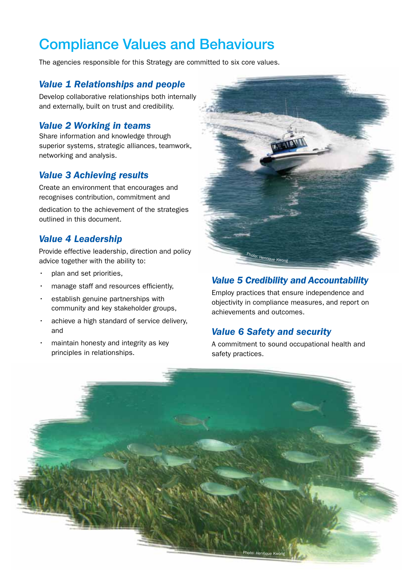# Compliance Values and Behaviours

The agencies responsible for this Strategy are committed to six core values.

#### *Value 1 Relationships and people*

Develop collaborative relationships both internally and externally, built on trust and credibility.

#### *Value 2 Working in teams*

Share information and knowledge through superior systems, strategic alliances, teamwork, networking and analysis.

## *Value 3 Achieving results*

Create an environment that encourages and recognises contribution, commitment and

dedication to the achievement of the strategies outlined in this document.

### *Value 4 Leadership*

Provide effective leadership, direction and policy advice together with the ability to:

- plan and set priorities,
- manage staff and resources efficiently,
- establish genuine partnerships with community and key stakeholder groups,
- achieve a high standard of service delivery, and
- maintain honesty and integrity as key principles in relationships.



### *Value 5 Credibility and Accountability*

Employ practices that ensure independence and objectivity in compliance measures, and report on achievements and outcomes.

## *Value 6 Safety and security*

A commitment to sound occupational health and safety practices.

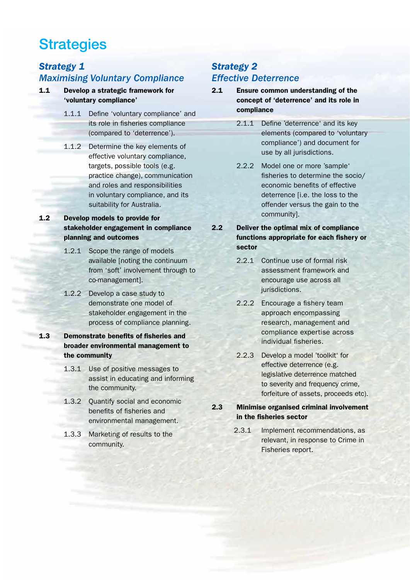# **Strategies**

# *Strategy 1 Maximising Voluntary Compliance*

- 1.1 Develop a strategic framework for 'voluntary compliance'
	- 1.1.1 Define 'voluntary compliance' and its role in fisheries compliance (compared to 'deterrence').
	- 1.1.2 Determine the key elements of effective voluntary compliance, targets, possible tools (e.g. practice change), communication and roles and responsibilities in voluntary compliance, and its suitability for Australia.

#### 1.2 Develop models to provide for stakeholder engagement in compliance planning and outcomes

- 1.2.1 Scope the range of models available [noting the continuum from 'soft' involvement through to co-management].
- 1.2.2 Develop a case study to demonstrate one model of stakeholder engagement in the process of compliance planning.

#### 1.3 Demonstrate benefits of fisheries and broader environmental management to the community

- 1.3.1 Use of positive messages to assist in educating and informing the community.
- 1.3.2 Quantify social and economic benefits of fisheries and environmental management.
- 1.3.3 Marketing of results to the community.

## *Strategy 2 Effective Deterrence*

- 2.1 Ensure common understanding of the concept of 'deterrence' and its role in compliance
	- 2.1.1 Define 'deterrence' and its key elements (compared to 'voluntary compliance') and document for use by all jurisdictions.
	- 2.2.2 Model one or more 'sample' fisheries to determine the socio/ economic benefits of effective deterrence [i.e. the loss to the offender versus the gain to the community].

#### 2.2 Deliver the optimal mix of compliance functions appropriate for each fishery or sector

- 2.2.1 Continue use of formal risk assessment framework and encourage use across all jurisdictions.
- 2.2.2 Encourage a fishery team approach encompassing research, management and compliance expertise across individual fisheries.
- 2.2.3 Develop a model 'toolkit' for effective deterrence (e.g. legislative deterrence matched to severity and frequency crime, forfeiture of assets, proceeds etc).

#### 2.3 Minimise organised criminal involvement in the fisheries sector

2.3.1 Implement recommendations, as relevant, in response to Crime in Fisheries report.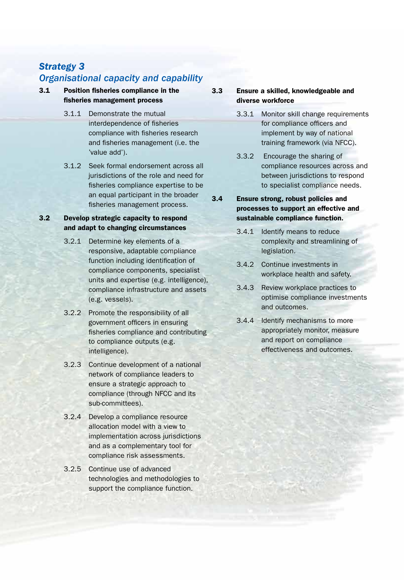## *Strategy 3 Organisational capacity and capability*

#### 3.1 Position fisheries compliance in the fisheries management process

- 3.1.1 Demonstrate the mutual interdependence of fisheries compliance with fisheries research and fisheries management (i.e. the 'value add').
- 3.1.2 Seek formal endorsement across all jurisdictions of the role and need for fisheries compliance expertise to be an equal participant in the broader fisheries management process.

#### 3.2 Develop strategic capacity to respond and adapt to changing circumstances

- 3.2.1 Determine key elements of a responsive, adaptable compliance function including identification of compliance components, specialist units and expertise (e.g. intelligence), compliance infrastructure and assets (e.g. vessels).
- 3.2.2 Promote the responsibility of all government officers in ensuring fisheries compliance and contributing to compliance outputs (e.g. intelligence).
- 3.2.3 Continue development of a national network of compliance leaders to ensure a strategic approach to compliance (through NFCC and its sub-committees).
- 3.2.4 Develop a compliance resource allocation model with a view to implementation across jurisdictions and as a complementary tool for compliance risk assessments.
- 3.2.5 Continue use of advanced technologies and methodologies to support the compliance function.

#### 3.3 Ensure a skilled, knowledgeable and diverse workforce

- 3.3.1 Monitor skill change requirements for compliance officers and implement by way of national training framework (via NFCC).
- 3.3.2 Encourage the sharing of compliance resources across and between jurisdictions to respond to specialist compliance needs.
- 3.4 Ensure strong, robust policies and processes to support an effective and sustainable compliance function.
	- 3.4.1 Identify means to reduce complexity and streamlining of legislation.
	- 3.4.2 Continue investments in workplace health and safety.
	- 3.4.3 Review workplace practices to optimise compliance investments and outcomes.
	- 3.4.4 Identify mechanisms to more appropriately monitor, measure and report on compliance effectiveness and outcomes.